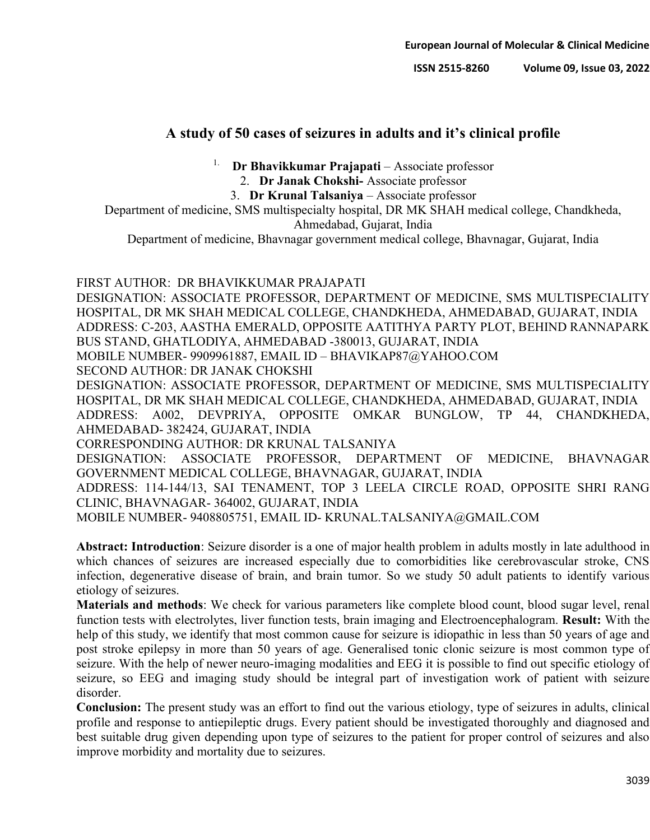# **A study of 50 cases of seizures in adults and it's clinical profile**

<sup>1.</sup> **Dr Bhavikkumar Prajapati** – Associate professor

2. **Dr Janak Chokshi-** Associate professor

3. **Dr Krunal Talsaniya** – Associate professor

Department of medicine, SMS multispecialty hospital, DR MK SHAH medical college, Chandkheda,

Ahmedabad, Gujarat, India Department of medicine, Bhavnagar government medical college, Bhavnagar, Gujarat, India

# FIRST AUTHOR: DR BHAVIKKUMAR PRAJAPATI

DESIGNATION: ASSOCIATE PROFESSOR, DEPARTMENT OF MEDICINE, SMS MULTISPECIALITY HOSPITAL, DR MK SHAH MEDICAL COLLEGE, CHANDKHEDA, AHMEDABAD, GUJARAT, INDIA ADDRESS: C-203, AASTHA EMERALD, OPPOSITE AATITHYA PARTY PLOT, BEHIND RANNAPARK BUS STAND, GHATLODIYA, AHMEDABAD -380013, GUJARAT, INDIA MOBILE NUMBER- 9909961887, EMAIL ID – BHAVIKAP87@YAHOO.COM SECOND AUTHOR: DR JANAK CHOKSHI DESIGNATION: ASSOCIATE PROFESSOR, DEPARTMENT OF MEDICINE, SMS MULTISPECIALITY HOSPITAL, DR MK SHAH MEDICAL COLLEGE, CHANDKHEDA, AHMEDABAD, GUJARAT, INDIA ADDRESS: A002, DEVPRIYA, OPPOSITE OMKAR BUNGLOW, TP 44, CHANDKHEDA, AHMEDABAD- 382424, GUJARAT, INDIA CORRESPONDING AUTHOR: DR KRUNAL TALSANIYA DESIGNATION: ASSOCIATE PROFESSOR, DEPARTMENT OF MEDICINE, BHAVNAGAR GOVERNMENT MEDICAL COLLEGE, BHAVNAGAR, GUJARAT, INDIA ADDRESS: 114-144/13, SAI TENAMENT, TOP 3 LEELA CIRCLE ROAD, OPPOSITE SHRI RANG

CLINIC, BHAVNAGAR- 364002, GUJARAT, INDIA

MOBILE NUMBER- 9408805751, EMAIL ID- KRUNAL.TALSANIYA@GMAIL.COM

**Abstract: Introduction**: Seizure disorder is a one of major health problem in adults mostly in late adulthood in which chances of seizures are increased especially due to comorbidities like cerebrovascular stroke, CNS infection, degenerative disease of brain, and brain tumor. So we study 50 adult patients to identify various etiology of seizures.

**Materials and methods**: We check for various parameters like complete blood count, blood sugar level, renal function tests with electrolytes, liver function tests, brain imaging and Electroencephalogram. **Result:** With the help of this study, we identify that most common cause for seizure is idiopathic in less than 50 years of age and post stroke epilepsy in more than 50 years of age. Generalised tonic clonic seizure is most common type of seizure. With the help of newer neuro-imaging modalities and EEG it is possible to find out specific etiology of seizure, so EEG and imaging study should be integral part of investigation work of patient with seizure disorder.

**Conclusion:** The present study was an effort to find out the various etiology, type of seizures in adults, clinical profile and response to antiepileptic drugs. Every patient should be investigated thoroughly and diagnosed and best suitable drug given depending upon type of seizures to the patient for proper control of seizures and also improve morbidity and mortality due to seizures.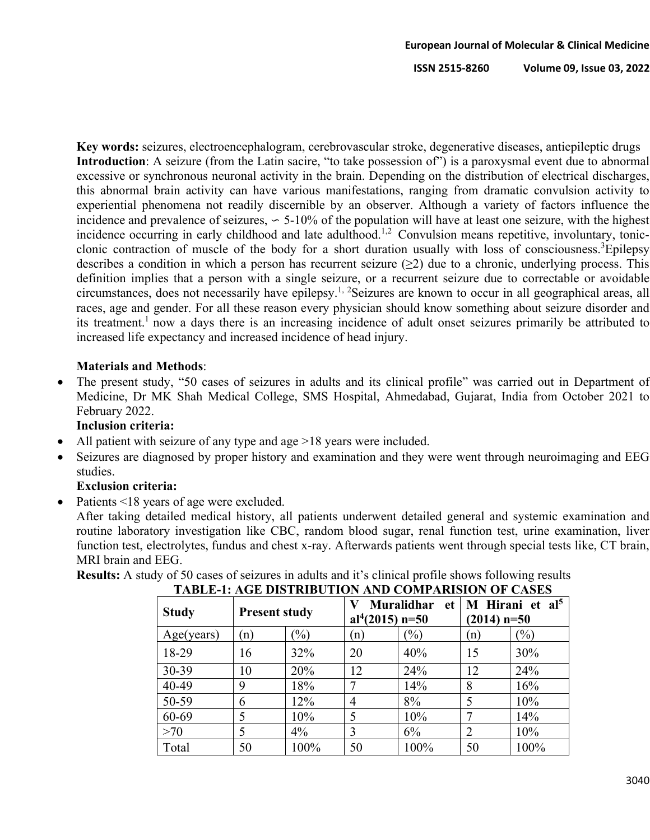**Key words:** seizures, electroencephalogram, cerebrovascular stroke, degenerative diseases, antiepileptic drugs **Introduction**: A seizure (from the Latin sacire, "to take possession of") is a paroxysmal event due to abnormal excessive or synchronous neuronal activity in the brain. Depending on the distribution of electrical discharges, this abnormal brain activity can have various manifestations, ranging from dramatic convulsion activity to experiential phenomena not readily discernible by an observer. Although a variety of factors influence the incidence and prevalence of seizures, ∽ 5-10% of the population will have at least one seizure, with the highest incidence occurring in early childhood and late adulthood.<sup>1,2</sup> Convulsion means repetitive, involuntary, tonicclonic contraction of muscle of the body for a short duration usually with loss of consciousness.<sup>3</sup>Epilepsy describes a condition in which a person has recurrent seizure  $(\geq 2)$  due to a chronic, underlying process. This definition implies that a person with a single seizure, or a recurrent seizure due to correctable or avoidable circumstances, does not necessarily have epilepsy.1, 2Seizures are known to occur in all geographical areas, all races, age and gender. For all these reason every physician should know something about seizure disorder and its treatment.<sup>1</sup> now a days there is an increasing incidence of adult onset seizures primarily be attributed to increased life expectancy and increased incidence of head injury.

## **Materials and Methods**:

The present study, "50 cases of seizures in adults and its clinical profile" was carried out in Department of Medicine, Dr MK Shah Medical College, SMS Hospital, Ahmedabad, Gujarat, India from October 2021 to February 2022.

## **Inclusion criteria:**

- All patient with seizure of any type and age >18 years were included.
- Seizures are diagnosed by proper history and examination and they were went through neuroimaging and EEG studies.

## **Exclusion criteria:**

Patients <18 years of age were excluded.

After taking detailed medical history, all patients underwent detailed general and systemic examination and routine laboratory investigation like CBC, random blood sugar, renal function test, urine examination, liver function test, electrolytes, fundus and chest x-ray. Afterwards patients went through special tests like, CT brain, MRI brain and EEG.

**Results:** A study of 50 cases of seizures in adults and it's clinical profile shows following results **TABLE-1: AGE DISTRIBUTION AND COMPARISION OF CASES**

| TADLE-T. AGE DISTRIDUTION AND COMI ARISION OF CASES |                      |               |                               |                         |                                              |               |  |  |
|-----------------------------------------------------|----------------------|---------------|-------------------------------|-------------------------|----------------------------------------------|---------------|--|--|
| <b>Study</b>                                        | <b>Present study</b> |               | al <sup>4</sup> $(2015)$ n=50 | <b>Muralidhar</b><br>et | M Hirani et al <sup>5</sup><br>$(2014)$ n=50 |               |  |  |
| Age(years)                                          | (n)                  | $\frac{1}{2}$ | (n)                           | $\frac{1}{2}$           | (n)                                          | $\frac{6}{2}$ |  |  |
| 18-29                                               | 16                   | 32%           | 20                            | 40%                     | 15                                           | 30%           |  |  |
| 30-39                                               | 10                   | 20%           | 12                            | 24%                     | 12                                           | 24%           |  |  |
| 40-49                                               | 9                    | 18%           |                               | 14%                     | 8                                            | 16%           |  |  |
| 50-59                                               | 6                    | 12%           | 4                             | 8%                      | 5                                            | 10%           |  |  |
| 60-69                                               | 5                    | 10%           | 5                             | 10%                     | 7                                            | 14%           |  |  |
| >70                                                 | 5                    | $4\%$         | 3                             | 6%                      | $\overline{2}$                               | 10%           |  |  |
| Total                                               | 50                   | 100%          | 50                            | 100%                    | 50                                           | 100%          |  |  |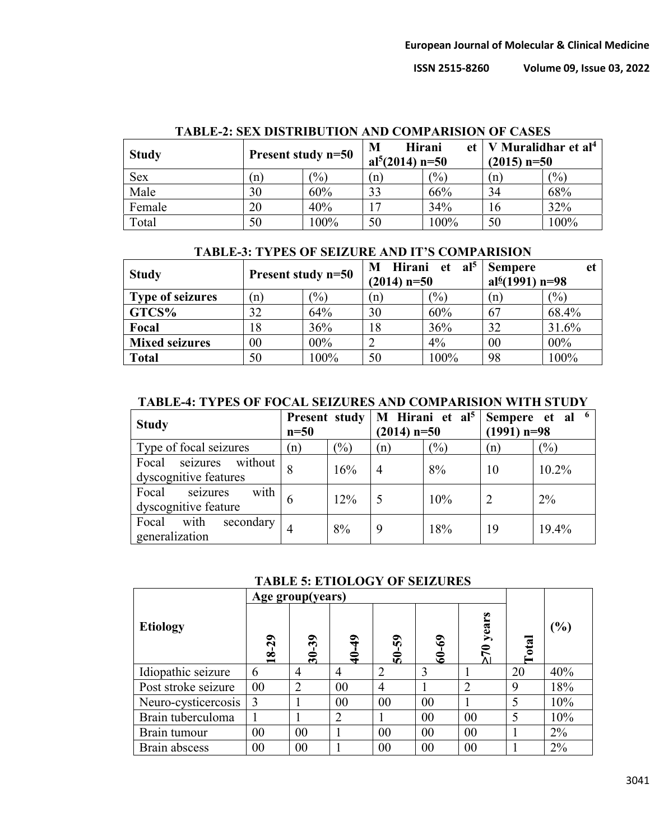| <b>Study</b> | Present study n=50 |       | M<br>al <sup>5</sup> $(2014)$ n=50 | <b>Hirani</b><br>et | V Muralidhar et al <sup>4</sup><br>$(2015)$ n=50 |               |
|--------------|--------------------|-------|------------------------------------|---------------------|--------------------------------------------------|---------------|
| Sex          | (n)                | (0/0) | 'n                                 | (0/0)               | (n)                                              | $\frac{1}{2}$ |
| Male         | 30                 | 60%   | 33                                 | 66%                 | 34                                               | 68%           |
| Female       | 20                 | 40%   |                                    | 34%                 | 16                                               | 32%           |
| Total        | 50                 | 100%  | 50                                 | 100%                | 50                                               | 100%          |

#### **TABLE-2: SEX DISTRIBUTION AND COMPARISION OF CASES**

| <b>TABLE-3: TYPES OF SEIZURE AND IT'S COMPARISION</b> |  |
|-------------------------------------------------------|--|
|-------------------------------------------------------|--|

| <b>Study</b>            | Present study n=50 |                 | M Hirani et $al5$<br>$(2014)$ n=50 |       | <b>Sempere</b><br>et<br>al <sup>6</sup> (1991) n=98 |                   |
|-------------------------|--------------------|-----------------|------------------------------------|-------|-----------------------------------------------------|-------------------|
| <b>Type of seizures</b> | (n)                | $\frac{(0)}{0}$ | (n)                                | (9/0) | (n)                                                 | $\frac{(0)}{(0)}$ |
| GTCS%                   | 32                 | 64%             | 30                                 | 60%   | 67                                                  | 68.4%             |
| Focal                   | 18                 | 36%             | 18                                 | 36%   | 32                                                  | 31.6%             |
| <b>Mixed seizures</b>   | $00\,$             | $00\%$          |                                    | 4%    | 00                                                  | 00%               |
| <b>Total</b>            | 50                 | 100%            | 50                                 | 100%  | 98                                                  | 100%              |

#### **TABLE-4: TYPES OF FOCAL SEIZURES AND COMPARISION WITH STUDY**

| <b>Study</b>                                      | <b>Present study</b><br>$n=50$ |               | $(2014)$ n=50 |     | M Hirani et al <sup>5</sup>   Sempere et al <sup>6</sup><br>$(1991)$ n=98 |       |
|---------------------------------------------------|--------------------------------|---------------|---------------|-----|---------------------------------------------------------------------------|-------|
| Type of focal seizures                            | (n)                            | $\frac{1}{2}$ | (n)           | (%) | (n)                                                                       | (%)   |
| Focal seizures without<br>dyscognitive features   |                                | 16%           | 4             | 8%  | 10                                                                        | 10.2% |
| with<br>Focal<br>seizures<br>dyscognitive feature | 6                              | 12%           |               | 10% |                                                                           | $2\%$ |
| Focal with<br>secondary<br>generalization         |                                | 8%            | 9             | 18% | 19                                                                        | 19.4% |

#### **TABLE 5: ETIOLOGY OF SEIZURES**

|                     | Age group(years)      |                                                         |                                          |                                  |           |                |              |        |
|---------------------|-----------------------|---------------------------------------------------------|------------------------------------------|----------------------------------|-----------|----------------|--------------|--------|
| <b>Etiology</b>     | 29<br>$\overline{18}$ | $\boldsymbol{\mathfrak{z}}$<br>$\overline{\mathbf{30}}$ | $\mathbf{\hat{q}}$<br>$\hat{\mathbf{z}}$ | $\overline{5}$<br>$\overline{5}$ | $60 - 69$ | years          | $\alpha$ tal | $(\%)$ |
| Idiopathic seizure  | 6                     | 4                                                       | 4                                        | 2                                | 3         |                | 20           | 40%    |
| Post stroke seizure | 00                    | $\overline{2}$                                          | 00                                       | $\overline{4}$                   |           | $\overline{2}$ | 9            | 18%    |
| Neuro-cysticercosis | $\overline{3}$        |                                                         | 00                                       | 00                               | 00        |                | 5            | 10%    |
| Brain tuberculoma   |                       |                                                         | 2                                        |                                  | 00        | 00             |              | 10%    |
| Brain tumour        | 00                    | 00                                                      |                                          | 00                               | 00        | 00             |              | $2\%$  |
| Brain abscess       | 0 <sub>0</sub>        | 00                                                      |                                          | 00                               | 00        | 00             |              | 2%     |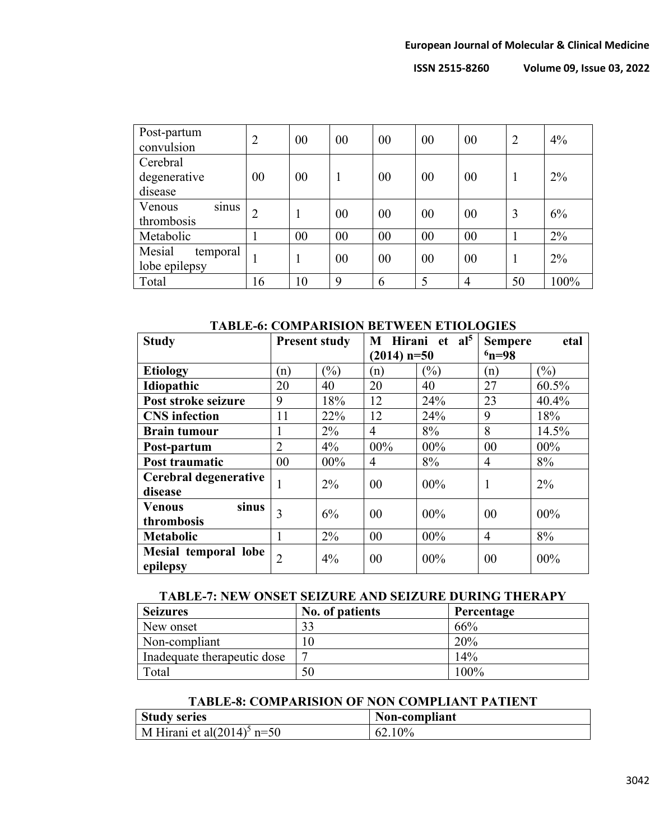| Post-partum<br>convulsion           | $\overline{2}$ | 00 | 00 | 00 | 00             | 00             | $\overline{2}$ | 4%    |
|-------------------------------------|----------------|----|----|----|----------------|----------------|----------------|-------|
| Cerebral<br>degenerative<br>disease | 00             | 00 | 1  | 00 | 00             | 00             | 1              | $2\%$ |
| Venous<br>sinus<br>thrombosis       | $\overline{2}$ |    | 00 | 00 | 0 <sup>0</sup> | 00             | 3              | 6%    |
| Metabolic                           |                | 00 | 00 | 00 | 00             | 00             |                | 2%    |
| Mesial<br>temporal<br>lobe epilepsy | 1              |    | 00 | 00 | 00             | 00             | 1              | $2\%$ |
| Total                               | 16             | 10 | 9  | 6  | 5              | $\overline{4}$ | 50             | 100%  |

#### **TABLE-6: COMPARISION BETWEEN ETIOLOGIES**

| $(2014)$ n=50    | $6n = 98$      |                |  |
|------------------|----------------|----------------|--|
|                  |                |                |  |
| $\frac{1}{2}$    | (n)            | $\binom{0}{0}$ |  |
| 40               | 27             | 60.5%          |  |
| 24%              | 23             | 40.4%          |  |
| 24%              | 9              | 18%            |  |
| 8%               | 8              | 14.5%          |  |
| $00\%$<br>$00\%$ | 00             | $00\%$         |  |
| 8%               | $\overline{4}$ | 8%             |  |
|                  |                | $2\%$          |  |
|                  |                |                |  |
|                  |                | $00\%$         |  |
|                  |                |                |  |
| 00%              | $\overline{4}$ | 8%             |  |
| 00%              | 00             | 00%            |  |
|                  | 00%<br>$00\%$  | 1<br>00        |  |

#### **TABLE-7: NEW ONSET SEIZURE AND SEIZURE DURING THERAPY**

| <b>Seizures</b>             | No. of patients | Percentage |
|-----------------------------|-----------------|------------|
| New onset                   | 33              | 66%        |
| Non-compliant               | l C             | 20%        |
| Inadequate therapeutic dose |                 | 14%        |
| Total                       | 50              | $100\%$    |

## **TABLE-8: COMPARISION OF NON COMPLIANT PATIENT**

| <b>Study series</b>            | Non-compliant |
|--------------------------------|---------------|
| M Hirani et al $(2014)^5$ n=50 | 62.10%        |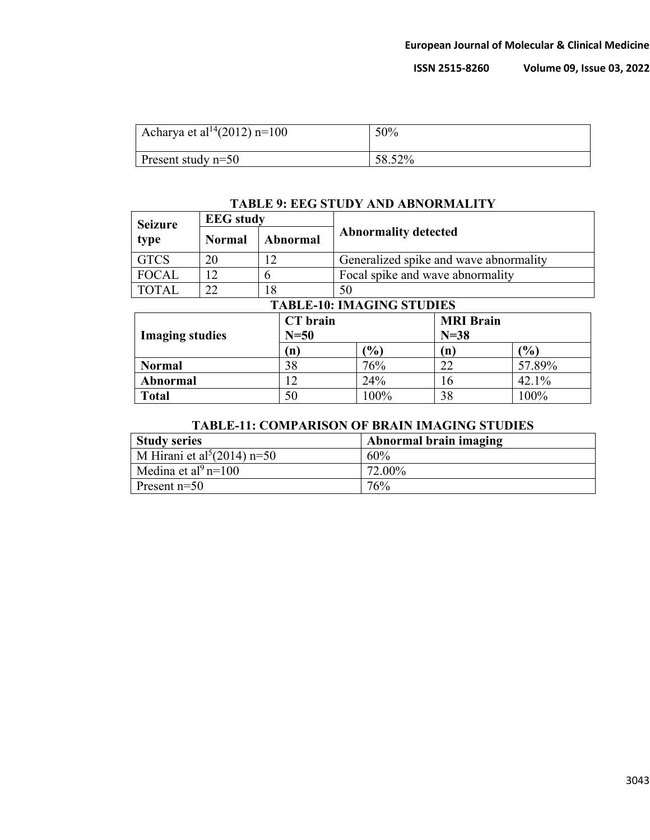| Acharya et al <sup>14</sup> (2012) n=100 | 50%    |
|------------------------------------------|--------|
| Present study $n=50$                     | 58.52% |

### **TABLE 9: EEG STUDY AND ABNORMALITY**

| <b>Seizure</b>                   | <b>EEG</b> study |          |                                        |                  |                 |  |  |
|----------------------------------|------------------|----------|----------------------------------------|------------------|-----------------|--|--|
| type                             | Normal           | Abnormal | <b>Abnormality detected</b>            |                  |                 |  |  |
| <b>GTCS</b>                      | 20               | 12       | Generalized spike and wave abnormality |                  |                 |  |  |
| <b>FOCAL</b>                     | 12               | 6        | Focal spike and wave abnormality       |                  |                 |  |  |
| <b>TOTAL</b>                     | 22               | 18       | 50                                     |                  |                 |  |  |
|                                  |                  |          | <b>TABLE-10: IMAGING STUDIES</b>       |                  |                 |  |  |
| CT brain                         |                  |          |                                        | <b>MRI</b> Brain |                 |  |  |
| $N=50$<br><b>Imaging studies</b> |                  |          | $N=38$                                 |                  |                 |  |  |
| (n)                              |                  |          | $\mathcal{O}_0$                        | (n)              | $\mathcal{O}_0$ |  |  |

**Normal** 38 76% 22 57.89% **Abnormal** 12 24% 16 42.1% **Total** 50 100% 38 100%

## **TABLE-11: COMPARISON OF BRAIN IMAGING STUDIES**

| <b>Study series</b>                       | Abnormal brain imaging |
|-------------------------------------------|------------------------|
| M Hirani et al <sup>5</sup> $(2014)$ n=50 | 60%                    |
| Medina et al <sup>9</sup> n=100           | 72.00%                 |
| Present $n=50$                            | 76%                    |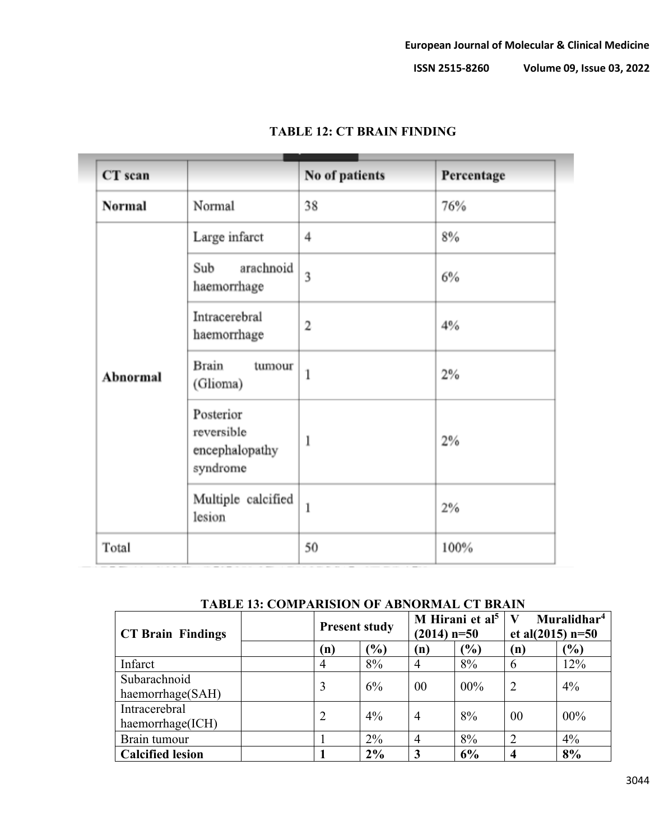| CT scan  |                                                       | No of patients          | Percentage |
|----------|-------------------------------------------------------|-------------------------|------------|
| Normal   | Normal                                                | 38                      | 76%        |
|          | Large infarct                                         | $\overline{4}$          | 8%         |
| Abnormal | arachnoid<br>Sub<br>haemorrhage                       | 3                       | 6%         |
|          | Intracerebral<br>haemorrhage                          | $\overline{\mathbf{c}}$ | 4%         |
|          | <b>Brain</b><br>tumour<br>(Glioma)                    | $\mathbf{1}$            | 2%         |
|          | Posterior<br>reversible<br>encephalopathy<br>syndrome | ı                       | 2%         |
|          | Multiple calcified<br>lesion                          | $\mathbf{1}$            | 2%         |
| Total    |                                                       | 50                      | 100%       |

# **TABLE 12: CT BRAIN FINDING**

|  |  |  | TABLE 13: COMPARISION OF ABNORMAL CT BRAIN |  |
|--|--|--|--------------------------------------------|--|
|--|--|--|--------------------------------------------|--|

| <b>CT Brain Findings</b> |  | <b>Present study</b> |                         | M Hirani et al <sup>5</sup><br>$(2014)$ n=50 |               | Muralidhar <sup>4</sup><br>et al $(2015)$ n=50 |               |
|--------------------------|--|----------------------|-------------------------|----------------------------------------------|---------------|------------------------------------------------|---------------|
|                          |  | (n)                  | (%)                     | (n)                                          | $\frac{1}{2}$ | (n)                                            | $\frac{6}{6}$ |
| Infarct                  |  | $\overline{4}$       | 8%                      | 4                                            | 8%            | 6                                              | 12%           |
| Subarachnoid             |  | 3                    | 6%                      | 00                                           | $00\%$        | $\mathcal{D}_{\mathcal{L}}$                    | 4%            |
| haemorrhage(SAH)         |  |                      |                         |                                              |               |                                                |               |
| Intracerebral            |  |                      | $4\%$<br>$\overline{2}$ | $\overline{4}$                               | 8%            | 00                                             | $00\%$        |
| haemorrhage(ICH)         |  |                      |                         |                                              |               |                                                |               |
| Brain tumour             |  |                      | $2\%$                   | $\overline{4}$                               | 8%            |                                                | 4%            |
| <b>Calcified lesion</b>  |  |                      | 2%                      | 3                                            | 6%            | 4                                              | 8%            |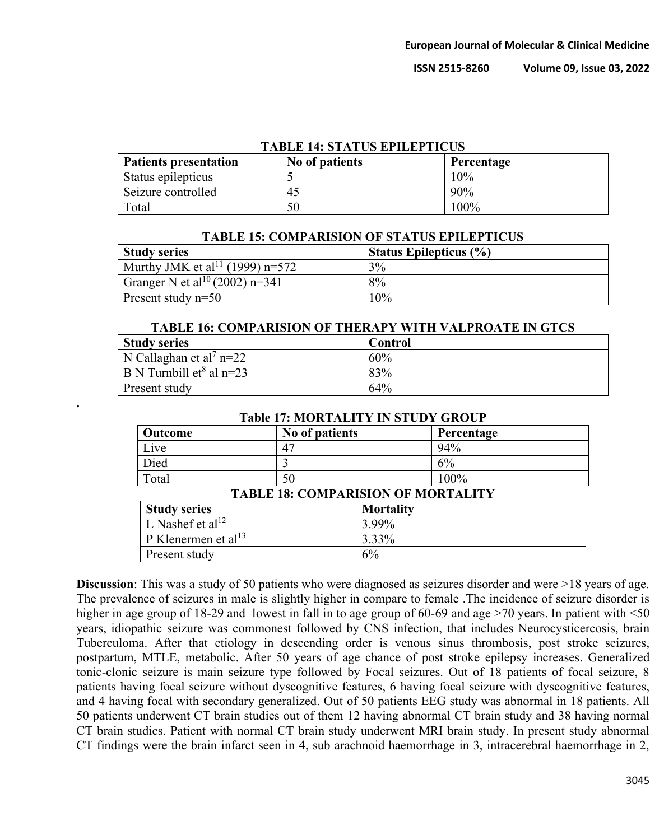| IABLE 14: SIATUS EPILEPIICUS |                |            |  |
|------------------------------|----------------|------------|--|
| <b>Patients presentation</b> | No of patients | Percentage |  |
| Status epilepticus           |                | 10%        |  |
| Seizure controlled           | 45             | 90%        |  |
| Total                        | 50             | 100%       |  |

## **TABLE 14: STATUS EPILEPTICUS**

| TABLE 15: COMPARISION OF STATUS EFILEFTICUS |                               |  |  |
|---------------------------------------------|-------------------------------|--|--|
| <b>Study series</b>                         | <b>Status Epilepticus (%)</b> |  |  |
| Murthy JMK et al <sup>11</sup> (1999) n=572 | 3%                            |  |  |
| Granger N et al <sup>10</sup> (2002) n=341  | 8%                            |  |  |
| Present study $n=50$                        | 10%                           |  |  |

**TABLE 15: COMPARISION OF STATUS EPILEPTICUS**

| <b>TABLE 16: COMPARISION OF THERAPY WITH VALPROATE IN GTCS</b> |         |  |  |
|----------------------------------------------------------------|---------|--|--|
| <b>Study series</b>                                            | Control |  |  |
| N Callaghan et al <sup>7</sup> n=22                            | 60%     |  |  |
| B N Turnbill $et^8$ al n=23                                    | 83%     |  |  |
| Present study                                                  | 64%     |  |  |

| <b>Outcome</b>                            | No of patients |                  | Percentage |  |
|-------------------------------------------|----------------|------------------|------------|--|
| Live                                      | 47             |                  | 94%        |  |
| Died                                      |                |                  | 6%         |  |
| Total                                     | 50             |                  | 100%       |  |
| <b>TABLE 18: COMPARISION OF MORTALITY</b> |                |                  |            |  |
| <b>Study series</b>                       |                | <b>Mortality</b> |            |  |
| L Nashef et al <sup>12</sup>              |                | 3.99%            |            |  |
| P Klenermen et al <sup>13</sup>           |                | 3.33%            |            |  |
| Present study                             |                | 6%               |            |  |

#### **Table 17: MORTALITY IN STUDY GROUP**

**.**

**Discussion**: This was a study of 50 patients who were diagnosed as seizures disorder and were >18 years of age. The prevalence of seizures in male is slightly higher in compare to female .The incidence of seizure disorder is higher in age group of 18-29 and lowest in fall in to age group of 60-69 and age >70 years. In patient with <50 years, idiopathic seizure was commonest followed by CNS infection, that includes Neurocysticercosis, brain Tuberculoma. After that etiology in descending order is venous sinus thrombosis, post stroke seizures, postpartum, MTLE, metabolic. After 50 years of age chance of post stroke epilepsy increases. Generalized tonic-clonic seizure is main seizure type followed by Focal seizures. Out of 18 patients of focal seizure, 8 patients having focal seizure without dyscognitive features, 6 having focal seizure with dyscognitive features, and 4 having focal with secondary generalized. Out of 50 patients EEG study was abnormal in 18 patients. All 50 patients underwent CT brain studies out of them 12 having abnormal CT brain study and 38 having normal CT brain studies. Patient with normal CT brain study underwent MRI brain study. In present study abnormal CT findings were the brain infarct seen in 4, sub arachnoid haemorrhage in 3, intracerebral haemorrhage in 2,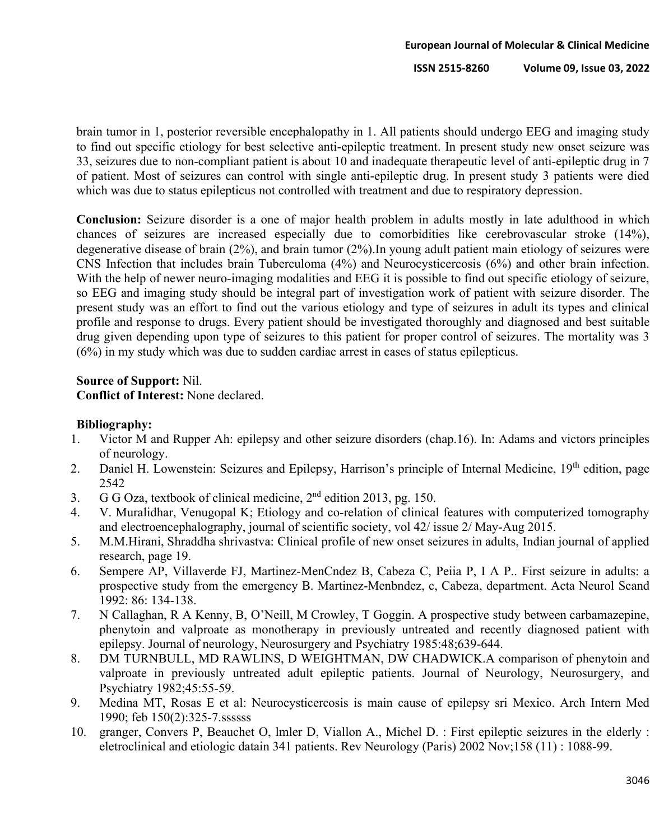brain tumor in 1, posterior reversible encephalopathy in 1. All patients should undergo EEG and imaging study to find out specific etiology for best selective anti-epileptic treatment. In present study new onset seizure was 33, seizures due to non-compliant patient is about 10 and inadequate therapeutic level of anti-epileptic drug in 7 of patient. Most of seizures can control with single anti-epileptic drug. In present study 3 patients were died which was due to status epilepticus not controlled with treatment and due to respiratory depression.

**Conclusion:** Seizure disorder is a one of major health problem in adults mostly in late adulthood in which chances of seizures are increased especially due to comorbidities like cerebrovascular stroke (14%), degenerative disease of brain (2%), and brain tumor (2%).In young adult patient main etiology of seizures were CNS Infection that includes brain Tuberculoma (4%) and Neurocysticercosis (6%) and other brain infection. With the help of newer neuro-imaging modalities and EEG it is possible to find out specific etiology of seizure, so EEG and imaging study should be integral part of investigation work of patient with seizure disorder. The present study was an effort to find out the various etiology and type of seizures in adult its types and clinical profile and response to drugs. Every patient should be investigated thoroughly and diagnosed and best suitable drug given depending upon type of seizures to this patient for proper control of seizures. The mortality was 3 (6%) in my study which was due to sudden cardiac arrest in cases of status epilepticus.

### **Source of Support:** Nil.

**Conflict of Interest:** None declared.

#### **Bibliography:**

- 1. Victor M and Rupper Ah: epilepsy and other seizure disorders (chap.16). In: Adams and victors principles of neurology.
- 2. Daniel H. Lowenstein: Seizures and Epilepsy, Harrison's principle of Internal Medicine, 19<sup>th</sup> edition, page 2542
- 3. G G Oza, textbook of clinical medicine,  $2<sup>nd</sup>$  edition 2013, pg. 150.
- 4. V. Muralidhar, Venugopal K; Etiology and co-relation of clinical features with computerized tomography and electroencephalography, journal of scientific society, vol 42/ issue 2/ May-Aug 2015.
- 5. M.M.Hirani, Shraddha shrivastva: Clinical profile of new onset seizures in adults, Indian journal of applied research, page 19.
- 6. Sempere AP, Villaverde FJ, Martinez-MenCndez B, Cabeza C, Peiia P, I A P.. First seizure in adults: a prospective study from the emergency B. Martinez-Menbndez, c, Cabeza, department. Acta Neurol Scand 1992: 86: 134-138.
- 7. N Callaghan, R A Kenny, B, O'Neill, M Crowley, T Goggin. A prospective study between carbamazepine, phenytoin and valproate as monotherapy in previously untreated and recently diagnosed patient with epilepsy. Journal of neurology, Neurosurgery and Psychiatry 1985:48;639-644.
- 8. DM TURNBULL, MD RAWLINS, D WEIGHTMAN, DW CHADWICK.A comparison of phenytoin and valproate in previously untreated adult epileptic patients. Journal of Neurology, Neurosurgery, and Psychiatry 1982;45:55-59.
- 9. Medina MT, Rosas E et al: Neurocysticercosis is main cause of epilepsy sri Mexico. Arch Intern Med 1990; feb 150(2):325-7.ssssss
- 10. granger, Convers P, Beauchet O, lmler D, Viallon A., Michel D. : First epileptic seizures in the elderly : eletroclinical and etiologic datain 341 patients. Rev Neurology (Paris) 2002 Nov;158 (11) : 1088-99.